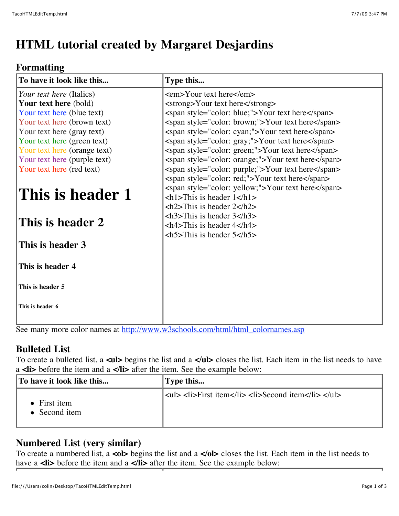# **HTML tutorial created by Margaret Desjardins**

## **Formatting**

| To have it look like this       | Type this                                                         |
|---------------------------------|-------------------------------------------------------------------|
| <i>Your text here</i> (Italics) | $\epsilon$ <em> Your text here <math>\epsilon</math>/em &gt;</em> |
| <b>Your text here</b> (bold)    | <strong>Your text here</strong>                                   |
| Your text here (blue text)      | <span style="color: blue;">Your text here</span>                  |
| Your text here (brown text)     | <span style="color: brown;">Your text here</span>                 |
| Your text here (gray text)      | <span style="color: cyan;">Your text here</span>                  |
| Your text here (green text)     | <span style="color: gray;">Your text here</span>                  |
| Your text here (orange text)    | <span style="color: green;">Your text here</span>                 |
| Your text here (purple text)    | <span style="color: orange;">Your text here</span>                |
| Your text here (red text)       | <span style="color: purple;">Your text here</span>                |
|                                 | <span style="color: red;">Your text here</span>                   |
| This is header 1                | <span style="color: yellow;">Your text here</span>                |
|                                 | $\langle h1\rangle$ This is header $1\langle h1\rangle$           |
|                                 | $\langle h2\rangle$ This is header 2 $\langle h2\rangle$          |
| This is header 2                | $\langle h3\rangle$ This is header $3\langle h3\rangle$           |
|                                 | $\langle h4 \rangle$ This is header 4 $\langle h4 \rangle$        |
|                                 | $\langle h5>$ This is header $5<$ /h5 $>$                         |
| This is header 3                |                                                                   |
|                                 |                                                                   |
| This is header 4                |                                                                   |
|                                 |                                                                   |
| This is header 5                |                                                                   |
|                                 |                                                                   |
| This is header 6                |                                                                   |
|                                 |                                                                   |
|                                 |                                                                   |

See many more color names at [http://www.w3schools.com/html/html\\_colornames.asp](http://www.w3schools.com/html/html_colornames.asp)

## **Bulleted List**

To create a bulleted list, a **<ul>** begins the list and a **</ul>** closes the list. Each item in the list needs to have a **<li>** before the item and a **</li>** after the item. See the example below:

| To have it look like this             | Type this                                      |
|---------------------------------------|------------------------------------------------|
| $\bullet$ First item<br>• Second item | $ u $ <li>First item</li> <li>Second item</li> |

## **Numbered List (very similar)**

To create a numbered list, a **<ol>** begins the list and a **</ol>** closes the list. Each item in the list needs to have a **<li**> before the item and a **</li**> after the item. See the example below: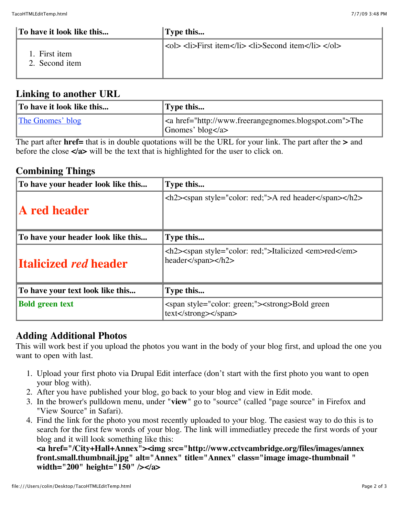| To have it look like this      | Type this                                                     |
|--------------------------------|---------------------------------------------------------------|
| . First item<br>2. Second item | $ \text{col}\rangle$ <li>First item</li> <li>Second item</li> |

#### **Linking to another URL**

| To have it look like this | Type this                                                                                     |
|---------------------------|-----------------------------------------------------------------------------------------------|
| The Gnomes' blog          | <a href="http://www.freerangegnomes.blogspot.com">The<br/>Gnomes' blog <math>\lt/a</math></a> |

The part after **href=** that is in double quotations will be the URL for your link. The part after the **>** and before the close **</a>** will be the text that is highlighted for the user to click on.

#### **Combining Things**

| To have your header look like this | Type this                                                                                                                                      |
|------------------------------------|------------------------------------------------------------------------------------------------------------------------------------------------|
| <b>A</b> red header                | <h2> &lt; span style="color: red;"&gt;A red header</h2>                                                                                        |
| To have your header look like this | Type this                                                                                                                                      |
| <b>Italicized red header</b>       | <h2> <span style="color: red;">Italicized <em>red </em><br/><math>header &lt;</math>/span<math>&gt;&gt;</math>/h2<math>&gt;</math></span></h2> |
| To have your text look like this   | Type this                                                                                                                                      |
| <b>Bold green text</b>             | <span style="color: green;"><strong>Bold green<br/><math>text</math> </strong></span>                                                          |

## **Adding Additional Photos**

This will work best if you upload the photos you want in the body of your blog first, and upload the one you want to open with last.

- 1. Upload your first photo via Drupal Edit interface (don't start with the first photo you want to open your blog with).
- 2. After you have published your blog, go back to your blog and view in Edit mode.
- 3. In the brower's pulldown menu, under "**view**" go to "source" (called "page source" in Firefox and "View Source" in Safari).
- 4. Find the link for the photo you most recently uploaded to your blog. The easiest way to do this is to search for the first few words of your blog. The link will immediatley precede the first words of your blog and it will look something like this:

**<a href="/City+Hall+Annex"><img src="http://www.cctvcambridge.org/files/images/annex front.small.thumbnail.jpg" alt="Annex" title="Annex" class="image image-thumbnail " width="200" height="150" /></a>**